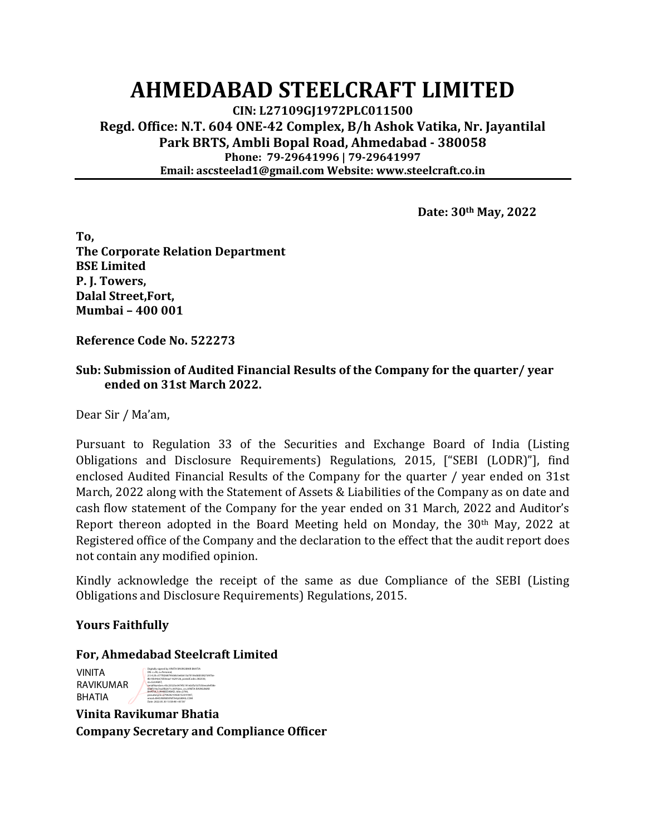# **AHMEDABAD STEELCRAFT LIMITED**

**CIN: L27109GJ1972PLC011500 Regd. Office: N.T. 604 ONE-42 Complex, B/h Ashok Vatika, Nr. Jayantilal Park BRTS, Ambli Bopal Road, Ahmedabad - 380058 Phone: 79-29641996 | 79-29641997 Email: ascsteelad1@gmail.com Website: www.steelcraft.co.in**

**Date: 30th May, 2022**

**To, The Corporate Relation Department BSE Limited P. J. Towers, Dalal Street,Fort, Mumbai – 400 001**

**Reference Code No. 522273**

## **Sub: Submission of Audited Financial Results of the Company for the quarter/ year ended on 31st March 2022.**

Dear Sir / Ma'am,

Pursuant to Regulation 33 of the Securities and Exchange Board of India (Listing Obligations and Disclosure Requirements) Regulations, 2015, ["SEBI (LODR)"], find enclosed Audited Financial Results of the Company for the quarter / year ended on 31st March, 2022 along with the Statement of Assets & Liabilities of the Company as on date and cash flow statement of the Company for the year ended on 31 March, 2022 and Auditor's Report thereon adopted in the Board Meeting held on Monday, the 30<sup>th</sup> May, 2022 at Registered office of the Company and the declaration to the effect that the audit report does not contain any modified opinion.

Kindly acknowledge the receipt of the same as due Compliance of the SEBI (Listing Obligations and Disclosure Requirements) Regulations, 2015.

## **Yours Faithfully**

#### **For, Ahmedabad Steelcraft Limited** Digitally signed by VINITA RAVIKUMAR BHATIA

VINITA RAVIKUMAR BHATIA

DN: c=IN, o=Personal, 2.5.4.20=577fd268790deb5e6b613a70106ddd33827d47be 8b10b94c67d50eaa11629126, postalCode=382330, st=GUJARAT, serialNumber=43c25525e3474fc191eb5fa1b7550eea9ef38e 658f519a7ea3f82071c39702ec, cn=VINITA RAVIKUMAR BHATIA, l=AHMEDABAD, title=2790, pseudonym=279020210426152341947, email=BHOJWANIVINITA4@GMAIL.COM Date: 2022.05.30 13:58:48 +05'30'

**Vinita Ravikumar Bhatia Company Secretary and Compliance Officer**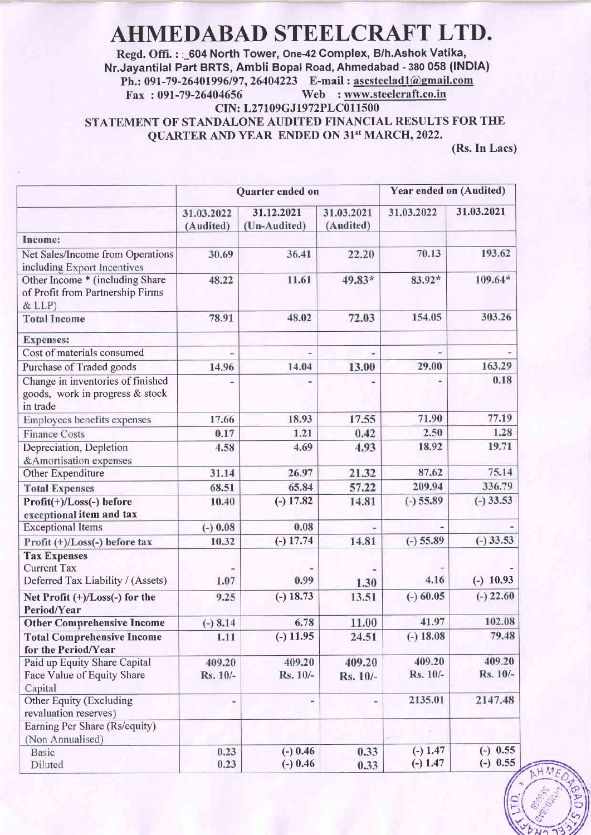# AHMEDABAD STEELCRAFT LTD.

Regd. Offi. : : 604 North Tower, One-42 Complex, B/h.Ashok Vatika, Nr.Jayantilal Part BRTS, Ambli Bopal Road, Ahmedabad - 380 058 (lNDlA) Ph.: 091-79-26401996/97, 26404223 E-mail : <u>ascsteelad1@gmail.com</u><br>Fax: 091-79-26404656 Web: www.steelcraft.co.in Web : www.steelcraft.co.in CIN: L27109GJ1972PLC011500 STATEMENT OF STANDALONE AUDITED FINANCIAL RESULTS FOR THE

QUARTER AND YEAR ENDED ON 31't MARCH, 2022.

(Rs.In Lacs)

|                                                                                  | Quarter ended on        |                            |                         | <b>Year ended on (Audited)</b> |             |
|----------------------------------------------------------------------------------|-------------------------|----------------------------|-------------------------|--------------------------------|-------------|
|                                                                                  | 31.03.2022<br>(Audited) | 31.12.2021<br>(Un-Audited) | 31.03.2021<br>(Audited) | 31.03.2022                     | 31.03.2021  |
| Income:                                                                          |                         |                            |                         |                                |             |
| Net Sales/Income from Operations<br>including Export Incentives                  | 30.69                   | 36.41                      | 22.20                   | 70.13                          | 193.62      |
| Other Income * (including Share<br>of Profit from Partnership Firms<br>& LLP)    | 48.22                   | 11.61                      | 49.83*                  | 83.92*                         | 109.64*     |
| <b>Total Income</b>                                                              | 78.91                   | 48.02                      | 72.03                   | 154.05                         | 303.26      |
| <b>Expenses:</b>                                                                 |                         |                            |                         |                                |             |
| Cost of materials consumed                                                       |                         | ٠                          | ÷                       |                                |             |
| Purchase of Traded goods                                                         | 14.96                   | 14.04                      | 13.00                   | 29.00                          | 163.29      |
| Change in inventories of finished<br>goods, work in progress & stock<br>in trade |                         |                            |                         |                                | 0.18        |
| Employees benefits expenses                                                      | 17.66                   | 18.93                      | 17.55                   | 71.90                          | 77.19       |
| <b>Finance Costs</b>                                                             | 0.17                    | 1.21                       | 0.42                    | 2.50                           | 1.28        |
| Depreciation, Depletion<br>&Amortisation expenses                                | 4.58                    | 4.69                       | 4.93                    | 18.92                          | 19.71       |
| Other Expenditure                                                                | 31.14                   | 26.97                      | 21.32                   | 87.62                          | 75.14       |
| <b>Total Expenses</b>                                                            | 68.51                   | 65.84                      | 57.22                   | 209.94                         | 336.79      |
| Profit(+)/Loss(-) before<br>exceptional item and tax                             | 10.40                   | $(-) 17.82$                | 14.81                   | $(-) 55.89$                    | $(-)$ 33.53 |
| <b>Exceptional Items</b>                                                         | $(-) 0.08$              | 0.08                       |                         |                                |             |
| Profit (+)/Loss(-) before tax                                                    | 10.32                   | $(-) 17.74$                | 14.81                   | $(-) 55.89$                    | $(-)33.53$  |
| <b>Tax Expenses</b><br><b>Current Tax</b><br>Deferred Tax Liability / (Assets)   | 1.07                    | 0.99                       | 1.30                    | 4.16                           | $(-)$ 10.93 |
| Net Profit (+)/Loss(-) for the<br>Period/Year                                    | 9.25                    | $(-) 18.73$                | 13.51                   | $(-) 60.05$                    | $(-)$ 22.60 |
| <b>Other Comprehensive Income</b>                                                | $(-) 8.14$              | 6.78                       | 11.00                   | 41.97                          | 102.08      |
| <b>Total Comprehensive Income</b><br>for the Period/Year                         | 1.11                    | $(-) 11.95$                | 24.51                   | $(-) 18.08$                    | 79.48       |
| Paid up Equity Share Capital                                                     | 409.20                  | 409.20                     | 409.20                  | 409.20                         | 409.20      |
| Face Value of Equity Share<br>Capital                                            | Rs. 10/-                | Rs. 10/-                   | Rs. 10/-                | Rs. 10/-                       | Rs. 10/-    |
| Other Equity (Excluding<br>revaluation reserves)                                 | ۳                       |                            | m                       | 2135.01                        | 2147.48     |
| Earning Per Share (Rs/equity)<br>(Non Annualised)                                |                         |                            |                         |                                |             |
| <b>Basic</b>                                                                     | 0.23                    | $(-)$ 0.46                 | 0.33                    | $(-) 1.47$                     | $(-)$ 0.55  |
| Diluted                                                                          | 0.23                    | $(-)$ 0.46                 | 0.33                    | $(-) 1.47$                     | $(-) 0.55$  |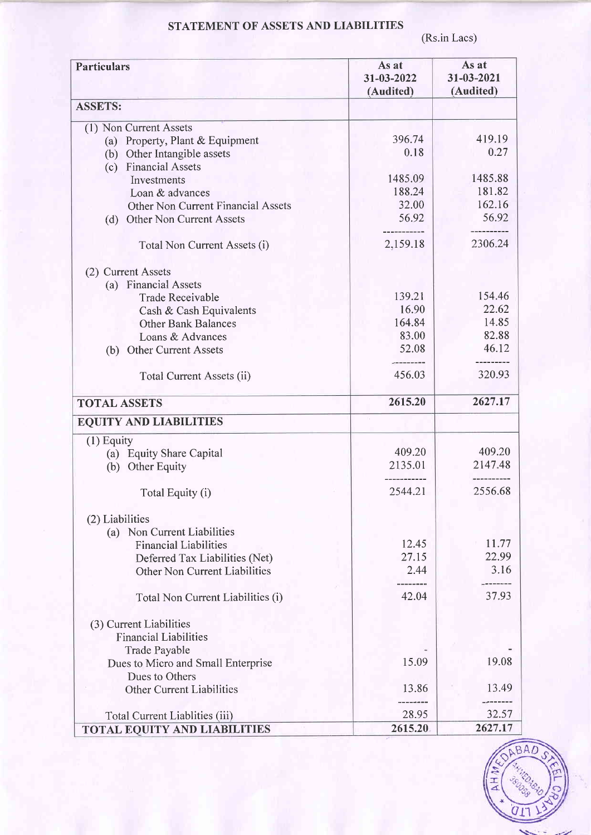# STATEMENT OF ASSETS AND LIABILITIES

(Rs.in Lacs)

| <b>Particulars</b>  |                                           | As at                   | As at                   |
|---------------------|-------------------------------------------|-------------------------|-------------------------|
|                     |                                           | 31-03-2022<br>(Audited) | 31-03-2021<br>(Audited) |
| <b>ASSETS:</b>      |                                           |                         |                         |
|                     | (1) Non Current Assets                    |                         |                         |
|                     | (a) Property, Plant & Equipment           | 396.74                  | 419.19                  |
|                     | (b) Other Intangible assets               | 0.18                    | 0.27                    |
|                     | (c) Financial Assets                      |                         |                         |
|                     | Investments                               | 1485.09                 | 1485.88                 |
|                     | Loan & advances                           | 188.24<br>32.00         | 181.82<br>162.16        |
|                     | <b>Other Non Current Financial Assets</b> | 56.92                   | 56.92                   |
| (d)                 | <b>Other Non Current Assets</b>           |                         | ----------              |
|                     | Total Non Current Assets (i)              | 2,159.18                | 2306.24                 |
|                     | (2) Current Assets                        |                         |                         |
|                     | (a) Financial Assets                      |                         |                         |
|                     | <b>Trade Receivable</b>                   | 139.21                  | 154.46                  |
|                     | Cash & Cash Equivalents                   | 16.90                   | 22.62                   |
|                     | <b>Other Bank Balances</b>                | 164.84                  | 14.85                   |
|                     | Loans & Advances                          | 83.00                   | 82.88                   |
| (b)                 | <b>Other Current Assets</b>               | 52.08                   | 46.12                   |
|                     | Total Current Assets (ii)                 | 456.03                  | 320.93                  |
| <b>TOTAL ASSETS</b> |                                           | 2615.20                 | 2627.17                 |
|                     | <b>EQUITY AND LIABILITIES</b>             |                         |                         |
| $(1)$ Equity        |                                           |                         |                         |
|                     | (a) Equity Share Capital                  | 409.20                  | 409.20                  |
|                     | (b) Other Equity                          | 2135.01                 | 2147.48<br>.            |
|                     | Total Equity (i)                          | 2544.21                 | 2556.68                 |
| (2) Liabilities     |                                           |                         |                         |
|                     | (a) Non Current Liabilities               |                         |                         |
|                     | <b>Financial Liabilities</b>              | 12.45                   | 11.77                   |
|                     | Deferred Tax Liabilities (Net)            | 27.15                   | 22.99                   |
|                     | Other Non Current Liabilities             | 2.44                    | 3.16                    |
|                     |                                           | 42.04                   | 37.93                   |
|                     | Total Non Current Liabilities (i)         |                         |                         |
|                     | (3) Current Liabilities                   |                         |                         |
|                     | <b>Financial Liabilities</b>              |                         |                         |
|                     | <b>Trade Payable</b>                      |                         |                         |
|                     | Dues to Micro and Small Enterprise        | 15.09                   | 19.08                   |
|                     | Dues to Others                            |                         |                         |
|                     | <b>Other Current Liabilities</b>          | 13.86                   | 13.49                   |
|                     | Total Current Liablities (iii)            | 28.95                   | 32.57                   |
|                     | <b>TOTAL EQUITY AND LIABILITIES</b>       | 2615.20                 | 2627.17                 |

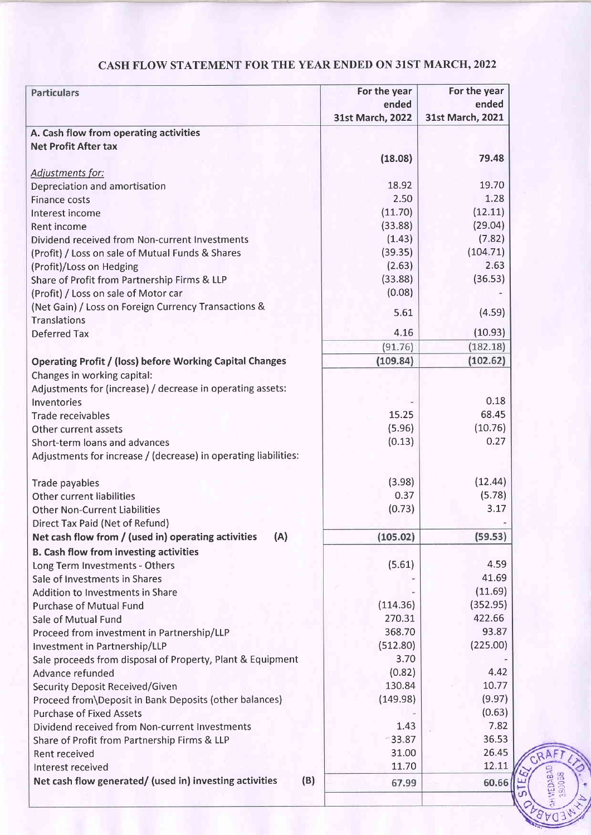# CASH FLOW STATEMENT FOR THE YEAR ENDED ON 31ST MARCH,2022

| <b>Particulars</b>                                              | For the year     | For the year     |
|-----------------------------------------------------------------|------------------|------------------|
|                                                                 | ended            | ended            |
|                                                                 | 31st March, 2022 | 31st March, 2021 |
| A. Cash flow from operating activities                          |                  |                  |
| <b>Net Profit After tax</b>                                     |                  |                  |
|                                                                 | (18.08)          | 79.48            |
| Adjustments for:                                                |                  |                  |
| Depreciation and amortisation                                   | 18.92            | 19.70            |
| <b>Finance costs</b>                                            | 2.50             | 1.28             |
| Interest income                                                 | (11.70)          | (12.11)          |
| <b>Rent income</b>                                              | (33.88)          | (29.04)          |
| Dividend received from Non-current Investments                  | (1.43)           | (7.82)           |
| (Profit) / Loss on sale of Mutual Funds & Shares                | (39.35)          | (104.71)         |
| (Profit)/Loss on Hedging                                        | (2.63)           | 2.63             |
| Share of Profit from Partnership Firms & LLP                    | (33.88)          | (36.53)          |
| (Profit) / Loss on sale of Motor car                            | (0.08)           |                  |
| (Net Gain) / Loss on Foreign Currency Transactions &            | 5.61             | (4.59)           |
| <b>Translations</b>                                             |                  |                  |
| <b>Deferred Tax</b>                                             | 4.16             | (10.93)          |
|                                                                 | (91.76)          | (182.18)         |
| <b>Operating Profit / (loss) before Working Capital Changes</b> | (109.84)         | (102.62)         |
| Changes in working capital:                                     |                  |                  |
| Adjustments for (increase) / decrease in operating assets:      |                  |                  |
| Inventories                                                     |                  | 0.18             |
| Trade receivables                                               | 15.25            | 68.45            |
| Other current assets                                            | (5.96)           | (10.76)          |
| Short-term loans and advances                                   | (0.13)           | 0.27             |
| Adjustments for increase / (decrease) in operating liabilities: |                  |                  |
|                                                                 |                  |                  |
| Trade payables                                                  | (3.98)           | (12.44)          |
| Other current liabilities                                       | 0.37             | (5.78)           |
| <b>Other Non-Current Liabilities</b>                            | (0.73)           | 3.17             |
| Direct Tax Paid (Net of Refund)                                 |                  |                  |
| Net cash flow from / (used in) operating activities<br>(A)      | (105.02)         | (59.53)          |
| <b>B. Cash flow from investing activities</b>                   |                  |                  |
| Long Term Investments - Others                                  | (5.61)           | 4.59             |
| Sale of Investments in Shares                                   |                  | 41.69            |
| <b>Addition to Investments in Share</b>                         |                  | (11.69)          |
| <b>Purchase of Mutual Fund</b>                                  | (114.36)         | (352.95)         |
| Sale of Mutual Fund                                             | 270.31           | 422.66           |
| Proceed from investment in Partnership/LLP                      | 368.70           | 93.87            |
| Investment in Partnership/LLP                                   | (512.80)         | (225.00)         |
| Sale proceeds from disposal of Property, Plant & Equipment      | 3.70             |                  |
| Advance refunded                                                | (0.82)           | 4.42             |
| Security Deposit Received/Given                                 | 130.84           | 10.77            |
| Proceed from\Deposit in Bank Deposits (other balances)          | (149.98)         | (9.97)           |
| <b>Purchase of Fixed Assets</b>                                 |                  | (0.63)           |
| Dividend received from Non-current Investments                  | 1.43             | 7.82             |
| Share of Profit from Partnership Firms & LLP                    | $-33.87$         | 36.53            |
| Rent received                                                   | 31.00            | 26.45            |
| Interest received                                               | 11.70            | 12.11            |
| Net cash flow generated/ (used in) investing activities<br>(B)  | 67.99            | 60.66            |
|                                                                 |                  |                  |

**HEDABA** д AQ<sub>3</sub>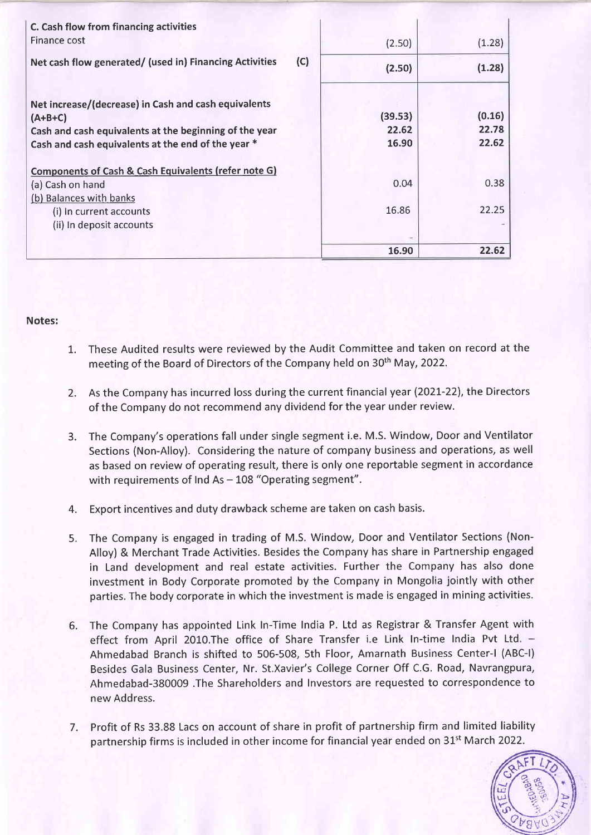| C. Cash flow from financing activities<br>Finance cost                                                                                                                            | (2.50)                    | (1.28)                   |
|-----------------------------------------------------------------------------------------------------------------------------------------------------------------------------------|---------------------------|--------------------------|
| (C)<br>Net cash flow generated/ (used in) Financing Activities                                                                                                                    | (2.50)                    | (1.28)                   |
| Net increase/(decrease) in Cash and cash equivalents<br>$(A+B+C)$<br>Cash and cash equivalents at the beginning of the year<br>Cash and cash equivalents at the end of the year * | (39.53)<br>22.62<br>16.90 | (0.16)<br>22.78<br>22.62 |
| Components of Cash & Cash Equivalents (refer note G)<br>(a) Cash on hand                                                                                                          | 0.04                      | 0.38                     |
| (b) Balances with banks<br>(i) In current accounts                                                                                                                                | 16.86                     | 22.25                    |
| (ii) In deposit accounts                                                                                                                                                          | 16.90                     | 22.62                    |

### Notes:

- 1. These Audited results were reviewed by the Audit Committee and taken on record at the meeting of the Board of Directors of the Company held on 30<sup>th</sup> May, 2022.
- 2. As the Company has incurred loss during the current financial year (202I-22), the Directors of the Company do not recommend any dividend forthe year under review.
- 3. The Company's operations fall under single segment i.e. M.S. Window, Door and Ventilator Sections (Non-Alloy). Considering the nature of company business and operations, as well as based on review of operating result, there is only one reportable segment in accordance with requirements of Ind As  $-$  108 "Operating segment".
- 4. Export incentives and duty drawback scheme are taken on cash basis.
- 5. The Company is engaged in trading of M.S. Window, Door and Ventilator Sections (Non-Alloy) & Merchant Trade Activities. Besides the Company has share in Partnership engaged in Land development and real estate activities. Further the Company has also done investment in Body Corporate promoted by the Company in Mongolia jointly with other parties. The body corporate in which the investment is made is engaged in mining activities.
- The Company has appointed Link In-Time India P. Ltd as Registrar & Transfer Agent with 6. effect from April 2010. The office of Share Transfer i.e Link In-time India Pvt Ltd. -Ahmedabad Branch is shifted to 506-508, 5th Floor, Amarnath Business Center-l (ABC-|) Besides Gala Business Center, Nr. St.Xavier's College Corner Off C.G. Road, Navrangpura, Ahmedabad-380009 .The Shareholders and Investors are requested to correspondence to new Address.
- 7. Profit of Rs 33.88 Lacs on account of share in profit of partnership firm and limited liability partnership firms is included in other income for financial year ended on 31<sup>st</sup> March 2022.

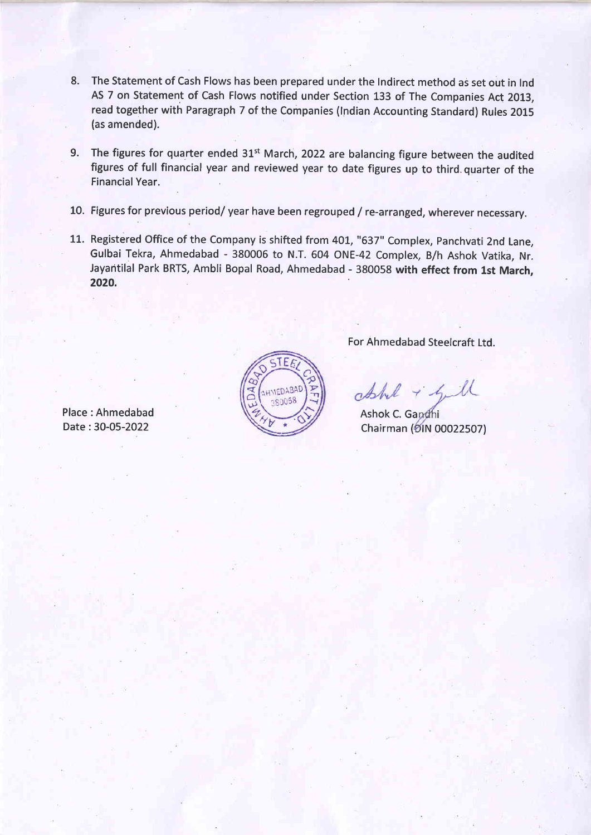- 8. The Statement of Cash Flows has been prepared under the Indirect method as set out in Ind AS 7 on Statement of Cash Flows notified under Section 133 of The Companies Act 2013, read together with Paragraph 7 of the Companies (lndian Accounting Standard) Rules 2015 (as amended).
- 9. The figures for quarter ended 31<sup>st</sup> March, 2022 are balancing figure between the audited figures of full financial year and reviewed year to date figures up to third. quarter of the FinancialYear.
- 10. Figures for previous period/ year have been regrouped / re-arranged, wherever necessary.
- 11. Registered Office of the Company is shifted from 401, "637" Complex, Panchvati 2nd Lane Gulbai Tekra, Ahmedabad - 380006 to N.T. 604 ONE-42 Complex, B/h Ashok Vatika, Nr. Jayantilal Park BRTS, Ambli Bopal Road, Ahmedabad - 380058 with effect from 1st March, 2020.



For Ahmedabad Steelcraft Ltd.

Ahl + Gill

Ashok C. Gandhi Chairman (DIN 00022507

Place : Ahmedabad Date:30-05-2022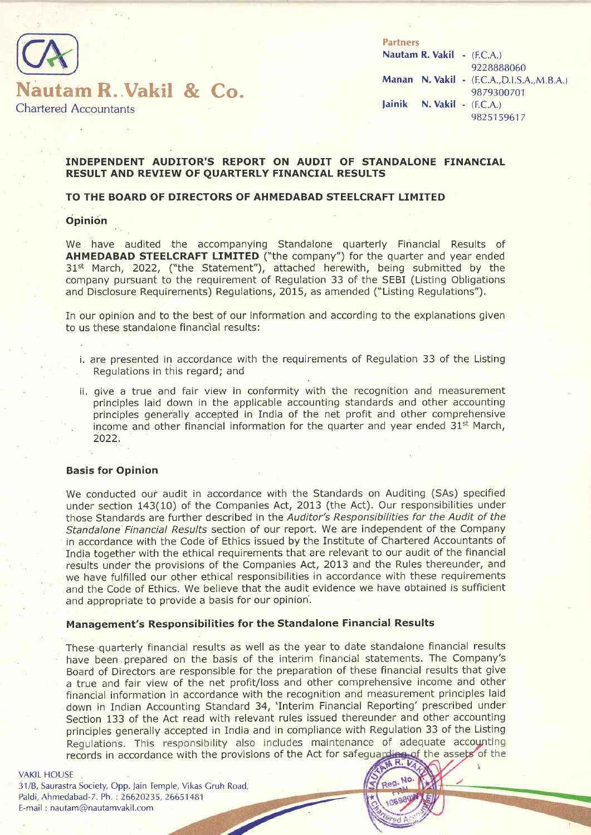

**Partners** Nautam R. Vakil - (F.C.A.) 9228888060 Manan N. Vakil - (E.C.A., D.I.S.A., M.B.A.) 9879300701 lainik N. Vakil - (F.C.A.) 9825159617

#### INDEPENDENT AUDITOR'S REPORT ON AUDIT OF STANDALONE FINANCIAL RESULT AND REVIEW OF QUARTERLY FINANCIAL RESULTS

#### TO THE BOARD OF DIRECTORS OF AHMEDABAD STEELCRAFT LIMITED

#### **Opinion**

We have audited the accompanying Standalone quarterly Financial Results of AHMEDABAD STEELCRAFT LIMITED ("the company") for the quarter and year ended 31<sup>st</sup> March, 2022, ("the Statement"), attached herewith, being submitted by the company pursuant to the requirement of Regulation 33 of the SEBI (Listing Obligations and Disclosure Requirements) Regulations,2Ol5, as amended ("Listing Regulations"),

In our opinion and to the best of our information and according to the explanations given to us these standalone financial results:

- i. are presented in accordance with the reguirements of Regulation 33 of the Listing Regulations in this regard; and
- ii, give a true and fair view in conformity with the recognition and measurement principles laid down in the applicable accounting standards and other accounting principles generally accepted in India of the net profit and other comprehensive income and other financial information for the quarter and year ended 31<sup>st</sup> March, 2022.

#### Basis for Opinion

We conducted our audit in accordance with the Standards on Auditing (SAs) specified under section 143(10) of the Companies Act, 2013 (the Act). Our responsibilities under those Standards are further described in the Auditor's Responsibilities for the Audit of the Standalone'Financial Resu/ts section of our report. We are independent of the Company in accordance with the Code bf Ethics issued by the Institute of Chartered Accountants of India together with the ethical requirements that are relevant to our audit of the financial results under the provisions of the Companies Act, 2013 and the Rules thereunder, and we have fulfilled our other ethical responsibilities in accordance with these requirements and the Code of Ethics. We believe that the audit evidence we have obtained is sufficient and appropriate to provide a basis for our opinion'.

#### Management's Responsibilities for the Standalone Financial Results

These quarterly financial results as well as the year to date standalone financial results have been prepared on the basis of the interim financial statements. The Company's Board of Directors are responsible for the preparation of these financial results that give a true and fair view of the net profit/loss and other comprehensive income and other financial information in accordance with the recognition and measurement principles laid down in Indian Accounting Standard 34, 'Interim Financial Reporting' prescribed under Section 133 of the Act read with relevant rules issued thereunder and other accounting principles generally accepted in India and in compliance with Regulation 33 of the Listing<br>Regulations. This responsibility also includes maintenance of adequate accounting records in accordance with the provisions of the Act for safeguarding of the assets of the

#### VAKIL HOUSE

31/B, Saurastra Society, Opp. Jain Temple, Vikas Gruh Road, Paldi,,Ahmedabad-7. Ph. : 26620235, 26651 481 E-mail : nautam@nautamvakil.com

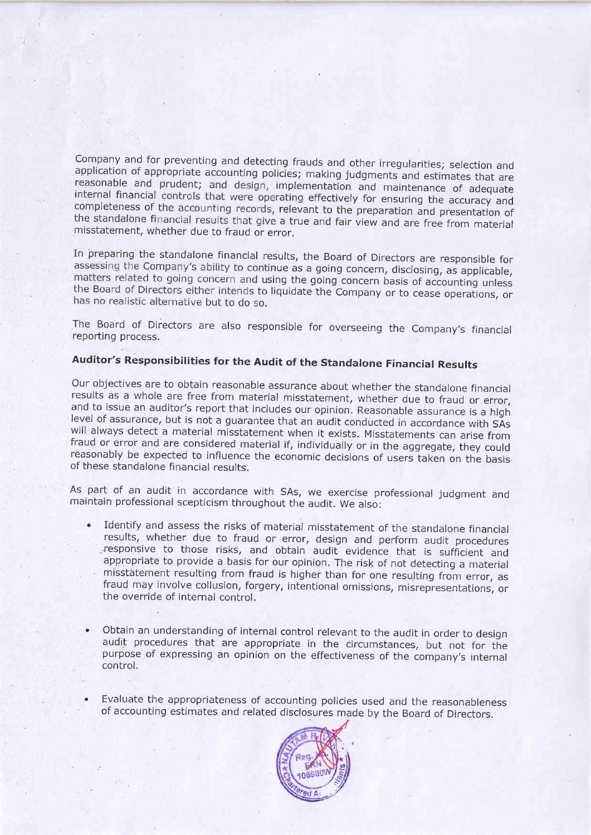Company and for preventing and detecting frauds and other irregularities; selection and application of appropriate accounting policies; making judgments and estimates that are reasonable and prudent; and design, implementa internal financial controls that were operating effectively for ensuring the accuracy and the standalone financial results that give a true and fair view and are free from material misstatement, whether due to fraud or error.

In preparing the standalone financial results, the Board of Directors are responsible for assessing the Company's ability to continue as a going concern, disclosing, as applicable, matters related to going concern and using the going concern basis of accounting unless the Board of Directors either intends to liquidate the Company or to cease operations, or has no realistic alternative but to do so.

The Board of Directors are also responsible for overseeing the Company's financial reporting process.

# Auditor's Responsibilities for the Audit of the Standalone Financial Results

Our objectives are to obtain reasonable assurance about whether the standalone financial<br>results as a whole are free from material misstatement, whether due to fraud or error,<br>and to issue an auditor's report that includes

As part of an audit in accordance with SAs, we exercise professional judgment and maintain professional scepticism throughout the audit. we also:

- Identify and assess the risks of material misstatement of the standalone financial results, whether due to fraud or error, design and perform audit procedures responsive to those risks, and obtain audit evidence that is sufficient and appropriate to provide a basis for our opinion. The risk of not detecting a material misstatement resulting from fraud is higher than for one resu
- ' Obtain an understanding of internal control relevant to the audit in order to design audit procedures that are appropriate in the circumstances, but not for the purpose of expressing an opinion on the effectiveness of the companv's internal control,
- Evaluate the appropriateness of accounting policies used and the reasonableness of accounting estimates and related disclosures made by the Board of Directors.

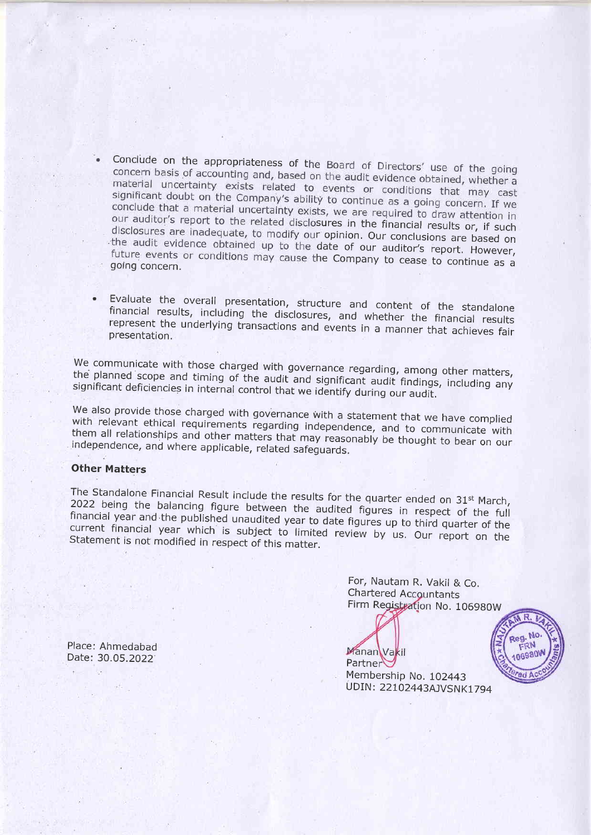- Conclude on the appropriateness of the Board of Directors' use of the going concern basis of accounting and, based on the audit evidence obtained, whether a material uncertainty exists related to events or conditions that may cast<br>significant doubt on the Company's philips to significant doubt on the Company's ability to continue as a going concern. If we<br>conclude that a material uncortainty with conclude that a material uncertainty exists, we are required to draw attention in<br>our auditor's report to the related disclosures in the financial results or, if such<br>disclosures are inadequate, to modify our opinion. Our the audit evidence obtained up to the date of our auditor's report. However, future events or conditions may cause the Company to cease to continue as a going concern.
- Evaluate the financial results, including the disclosures, and whether the financial results presentation. represent the underlying transactions and events in a manner that achieves fair

We communicate with those charged with governance regarding, among other matters, significant deficiencies in internal control that we identify during our audit. the planned scope and timing of the audit and significant audit findings, including any

We also provide those charged with governance with a statement that we have complied with relevant them all relationships with relevant ethical requirements regarding independence, and to communicate with them all relationships and other matters that may reasonably be thought to bear on our independence, and where applicable, related safeguar

### Other Matters

The Standalone Financial Result include the results for the quarter ended on 31<sup>st</sup> March, 2022 Standalone Financial Result include the results for the quarter ended on 31st March,<br>being the balancing figure between the audited figures in respect of the full current financial year-which is subject to limited review by us. Our report on the<br>Statement is not modified in respect of this matter. financial year and the published unaudited year to date figures up to third quarter of the Statement is not modified in respect of this matter.

> For, Nautam R. Vakil & Co, Chartered Accountants Firm Registration No. 106980W

UR.

Reg. No FRN

06980

Manan Vakil Partner

Membership No. 102443 UDIN: 22102443AJVSNK1794

Place: Ahmedabad Date: 30.05.2022'